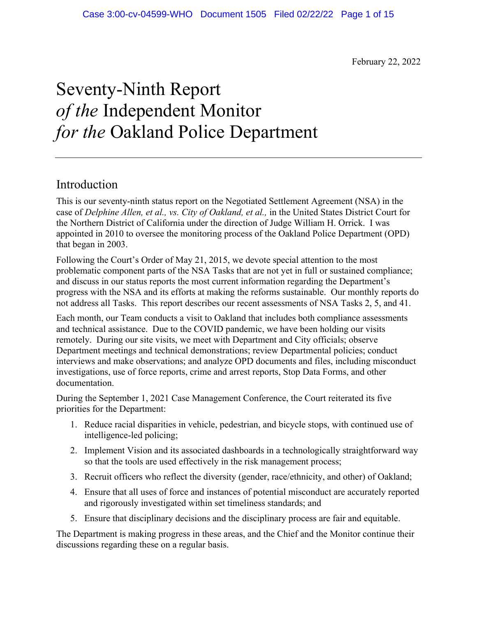February 22, 2022

# Seventy-Ninth Report *of the* Independent Monitor *for the* Oakland Police Department

# Introduction

This is our seventy-ninth status report on the Negotiated Settlement Agreement (NSA) in the case of *Delphine Allen, et al., vs. City of Oakland, et al.,* in the United States District Court for the Northern District of California under the direction of Judge William H. Orrick. I was appointed in 2010 to oversee the monitoring process of the Oakland Police Department (OPD) that began in 2003.

Following the Court's Order of May 21, 2015, we devote special attention to the most problematic component parts of the NSA Tasks that are not yet in full or sustained compliance; and discuss in our status reports the most current information regarding the Department's progress with the NSA and its efforts at making the reforms sustainable. Our monthly reports do not address all Tasks. This report describes our recent assessments of NSA Tasks 2, 5, and 41.

Each month, our Team conducts a visit to Oakland that includes both compliance assessments and technical assistance. Due to the COVID pandemic, we have been holding our visits remotely. During our site visits, we meet with Department and City officials; observe Department meetings and technical demonstrations; review Departmental policies; conduct interviews and make observations; and analyze OPD documents and files, including misconduct investigations, use of force reports, crime and arrest reports, Stop Data Forms, and other documentation.

During the September 1, 2021 Case Management Conference, the Court reiterated its five priorities for the Department:

- 1. Reduce racial disparities in vehicle, pedestrian, and bicycle stops, with continued use of intelligence-led policing;
- 2. Implement Vision and its associated dashboards in a technologically straightforward way so that the tools are used effectively in the risk management process;
- 3. Recruit officers who reflect the diversity (gender, race/ethnicity, and other) of Oakland;
- 4. Ensure that all uses of force and instances of potential misconduct are accurately reported and rigorously investigated within set timeliness standards; and
- 5. Ensure that disciplinary decisions and the disciplinary process are fair and equitable.

The Department is making progress in these areas, and the Chief and the Monitor continue their discussions regarding these on a regular basis.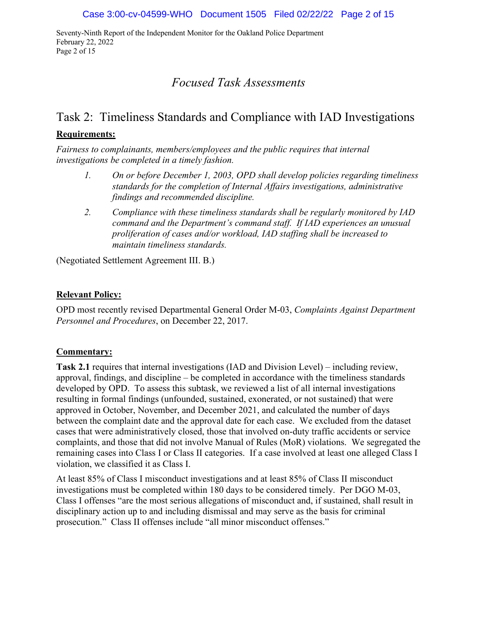Seventy-Ninth Report of the Independent Monitor for the Oakland Police Department February 22, 2022 Page 2 of 15

# *Focused Task Assessments*

# Task 2: Timeliness Standards and Compliance with IAD Investigations

## **Requirements:**

*Fairness to complainants, members/employees and the public requires that internal investigations be completed in a timely fashion.* 

- *1. On or before December 1, 2003, OPD shall develop policies regarding timeliness standards for the completion of Internal Affairs investigations, administrative findings and recommended discipline.*
- *2. Compliance with these timeliness standards shall be regularly monitored by IAD command and the Department's command staff. If IAD experiences an unusual proliferation of cases and/or workload, IAD staffing shall be increased to maintain timeliness standards.*

(Negotiated Settlement Agreement III. B.)

## **Relevant Policy:**

OPD most recently revised Departmental General Order M-03, *Complaints Against Department Personnel and Procedures*, on December 22, 2017.

## **Commentary:**

**Task 2.1** requires that internal investigations (IAD and Division Level) – including review, approval, findings, and discipline – be completed in accordance with the timeliness standards developed by OPD. To assess this subtask, we reviewed a list of all internal investigations resulting in formal findings (unfounded, sustained, exonerated, or not sustained) that were approved in October, November, and December 2021, and calculated the number of days between the complaint date and the approval date for each case. We excluded from the dataset cases that were administratively closed, those that involved on-duty traffic accidents or service complaints, and those that did not involve Manual of Rules (MoR) violations. We segregated the remaining cases into Class I or Class II categories. If a case involved at least one alleged Class I violation, we classified it as Class I.

At least 85% of Class I misconduct investigations and at least 85% of Class II misconduct investigations must be completed within 180 days to be considered timely. Per DGO M-03, Class I offenses "are the most serious allegations of misconduct and, if sustained, shall result in disciplinary action up to and including dismissal and may serve as the basis for criminal prosecution." Class II offenses include "all minor misconduct offenses."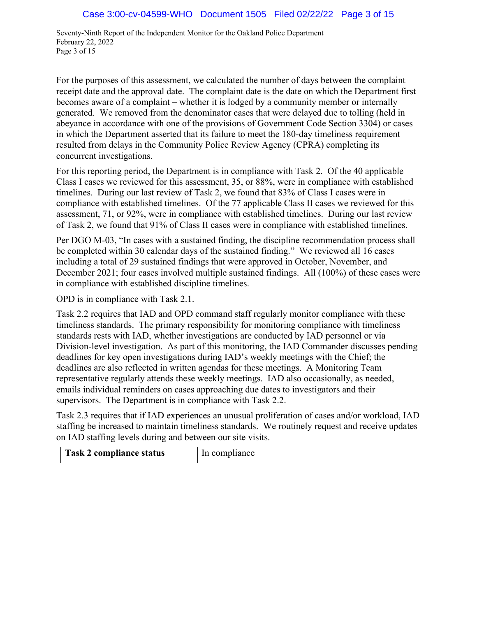Seventy-Ninth Report of the Independent Monitor for the Oakland Police Department February 22, 2022 Page 3 of 15

For the purposes of this assessment, we calculated the number of days between the complaint receipt date and the approval date. The complaint date is the date on which the Department first becomes aware of a complaint – whether it is lodged by a community member or internally generated. We removed from the denominator cases that were delayed due to tolling (held in abeyance in accordance with one of the provisions of Government Code Section 3304) or cases in which the Department asserted that its failure to meet the 180-day timeliness requirement resulted from delays in the Community Police Review Agency (CPRA) completing its concurrent investigations.

For this reporting period, the Department is in compliance with Task 2. Of the 40 applicable Class I cases we reviewed for this assessment, 35, or 88%, were in compliance with established timelines. During our last review of Task 2, we found that 83% of Class I cases were in compliance with established timelines. Of the 77 applicable Class II cases we reviewed for this assessment, 71, or 92%, were in compliance with established timelines. During our last review of Task 2, we found that 91% of Class II cases were in compliance with established timelines.

Per DGO M-03, "In cases with a sustained finding, the discipline recommendation process shall be completed within 30 calendar days of the sustained finding." We reviewed all 16 cases including a total of 29 sustained findings that were approved in October, November, and December 2021; four cases involved multiple sustained findings. All (100%) of these cases were in compliance with established discipline timelines.

OPD is in compliance with Task 2.1.

Task 2.2 requires that IAD and OPD command staff regularly monitor compliance with these timeliness standards. The primary responsibility for monitoring compliance with timeliness standards rests with IAD, whether investigations are conducted by IAD personnel or via Division-level investigation. As part of this monitoring, the IAD Commander discusses pending deadlines for key open investigations during IAD's weekly meetings with the Chief; the deadlines are also reflected in written agendas for these meetings. A Monitoring Team representative regularly attends these weekly meetings. IAD also occasionally, as needed, emails individual reminders on cases approaching due dates to investigators and their supervisors. The Department is in compliance with Task 2.2.

Task 2.3 requires that if IAD experiences an unusual proliferation of cases and/or workload, IAD staffing be increased to maintain timeliness standards. We routinely request and receive updates on IAD staffing levels during and between our site visits.

| <b>Task 2 compliance status</b> | In<br>npliance |
|---------------------------------|----------------|
|---------------------------------|----------------|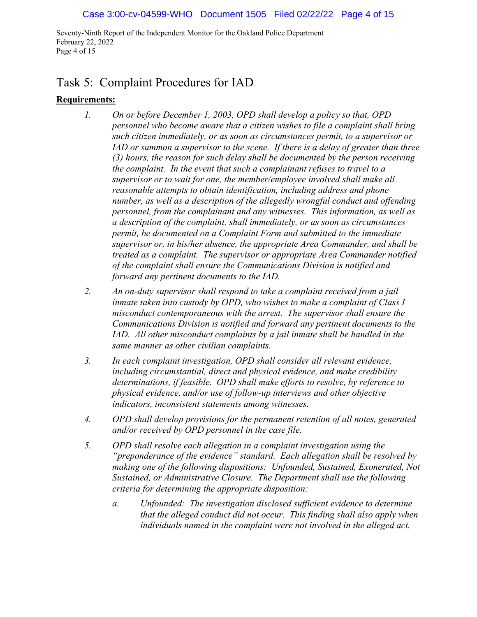Seventy-Ninth Report of the Independent Monitor for the Oakland Police Department February 22, 2022 Page 4 of 15

# Task 5: Complaint Procedures for IAD

## **Requirements:**

- *1. On or before December 1, 2003, OPD shall develop a policy so that, OPD personnel who become aware that a citizen wishes to file a complaint shall bring such citizen immediately, or as soon as circumstances permit, to a supervisor or IAD or summon a supervisor to the scene. If there is a delay of greater than three (3) hours, the reason for such delay shall be documented by the person receiving the complaint. In the event that such a complainant refuses to travel to a supervisor or to wait for one, the member/employee involved shall make all reasonable attempts to obtain identification, including address and phone number, as well as a description of the allegedly wrongful conduct and offending personnel, from the complainant and any witnesses. This information, as well as a description of the complaint, shall immediately, or as soon as circumstances permit, be documented on a Complaint Form and submitted to the immediate supervisor or, in his/her absence, the appropriate Area Commander, and shall be treated as a complaint. The supervisor or appropriate Area Commander notified of the complaint shall ensure the Communications Division is notified and forward any pertinent documents to the IAD.*
- *2. An on-duty supervisor shall respond to take a complaint received from a jail inmate taken into custody by OPD, who wishes to make a complaint of Class I misconduct contemporaneous with the arrest. The supervisor shall ensure the Communications Division is notified and forward any pertinent documents to the IAD. All other misconduct complaints by a jail inmate shall be handled in the same manner as other civilian complaints.*
- *3. In each complaint investigation, OPD shall consider all relevant evidence, including circumstantial, direct and physical evidence, and make credibility determinations, if feasible. OPD shall make efforts to resolve, by reference to physical evidence, and/or use of follow-up interviews and other objective indicators, inconsistent statements among witnesses.*
- *4. OPD shall develop provisions for the permanent retention of all notes, generated and/or received by OPD personnel in the case file.*
- *5. OPD shall resolve each allegation in a complaint investigation using the "preponderance of the evidence" standard. Each allegation shall be resolved by making one of the following dispositions: Unfounded, Sustained, Exonerated, Not Sustained, or Administrative Closure. The Department shall use the following criteria for determining the appropriate disposition:*
	- *a. Unfounded: The investigation disclosed sufficient evidence to determine that the alleged conduct did not occur. This finding shall also apply when individuals named in the complaint were not involved in the alleged act.*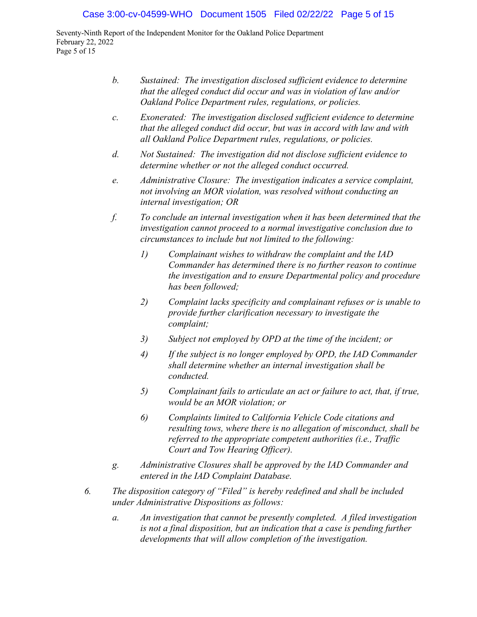Seventy-Ninth Report of the Independent Monitor for the Oakland Police Department February 22, 2022 Page 5 of 15

- *b. Sustained: The investigation disclosed sufficient evidence to determine that the alleged conduct did occur and was in violation of law and/or Oakland Police Department rules, regulations, or policies.*
- *c. Exonerated: The investigation disclosed sufficient evidence to determine that the alleged conduct did occur, but was in accord with law and with all Oakland Police Department rules, regulations, or policies.*
- *d. Not Sustained: The investigation did not disclose sufficient evidence to determine whether or not the alleged conduct occurred.*
- *e. Administrative Closure: The investigation indicates a service complaint, not involving an MOR violation, was resolved without conducting an internal investigation; OR*
- *f. To conclude an internal investigation when it has been determined that the investigation cannot proceed to a normal investigative conclusion due to circumstances to include but not limited to the following:* 
	- *1) Complainant wishes to withdraw the complaint and the IAD Commander has determined there is no further reason to continue the investigation and to ensure Departmental policy and procedure has been followed;*
	- *2) Complaint lacks specificity and complainant refuses or is unable to provide further clarification necessary to investigate the complaint;*
	- *3) Subject not employed by OPD at the time of the incident; or*
	- *4) If the subject is no longer employed by OPD, the IAD Commander shall determine whether an internal investigation shall be conducted.*
	- *5) Complainant fails to articulate an act or failure to act, that, if true, would be an MOR violation; or*
	- *6) Complaints limited to California Vehicle Code citations and resulting tows, where there is no allegation of misconduct, shall be referred to the appropriate competent authorities (i.e., Traffic Court and Tow Hearing Officer).*
- *g. Administrative Closures shall be approved by the IAD Commander and entered in the IAD Complaint Database.*
- *6. The disposition category of "Filed" is hereby redefined and shall be included under Administrative Dispositions as follows:*
	- *a. An investigation that cannot be presently completed. A filed investigation is not a final disposition, but an indication that a case is pending further developments that will allow completion of the investigation.*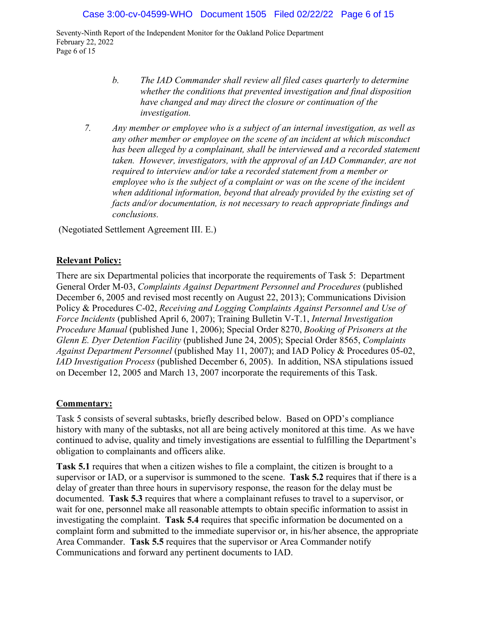Seventy-Ninth Report of the Independent Monitor for the Oakland Police Department February 22, 2022 Page 6 of 15

- *b. The IAD Commander shall review all filed cases quarterly to determine whether the conditions that prevented investigation and final disposition have changed and may direct the closure or continuation of the investigation.*
- *7. Any member or employee who is a subject of an internal investigation, as well as any other member or employee on the scene of an incident at which misconduct*  has been alleged by a complainant, shall be interviewed and a recorded statement *taken. However, investigators, with the approval of an IAD Commander, are not required to interview and/or take a recorded statement from a member or employee who is the subject of a complaint or was on the scene of the incident when additional information, beyond that already provided by the existing set of facts and/or documentation, is not necessary to reach appropriate findings and conclusions.*

(Negotiated Settlement Agreement III. E.)

## **Relevant Policy:**

There are six Departmental policies that incorporate the requirements of Task 5: Department General Order M-03, *Complaints Against Department Personnel and Procedures* (published December 6, 2005 and revised most recently on August 22, 2013); Communications Division Policy & Procedures C-02, *Receiving and Logging Complaints Against Personnel and Use of Force Incidents* (published April 6, 2007); Training Bulletin V-T.1, *Internal Investigation Procedure Manual* (published June 1, 2006); Special Order 8270, *Booking of Prisoners at the Glenn E. Dyer Detention Facility* (published June 24, 2005); Special Order 8565, *Complaints Against Department Personnel* (published May 11, 2007); and IAD Policy & Procedures 05-02, *IAD Investigation Process* (published December 6, 2005). In addition, NSA stipulations issued on December 12, 2005 and March 13, 2007 incorporate the requirements of this Task.

## **Commentary:**

Task 5 consists of several subtasks, briefly described below. Based on OPD's compliance history with many of the subtasks, not all are being actively monitored at this time. As we have continued to advise, quality and timely investigations are essential to fulfilling the Department's obligation to complainants and officers alike.

**Task 5.1** requires that when a citizen wishes to file a complaint, the citizen is brought to a supervisor or IAD, or a supervisor is summoned to the scene. **Task 5.2** requires that if there is a delay of greater than three hours in supervisory response, the reason for the delay must be documented. **Task 5.3** requires that where a complainant refuses to travel to a supervisor, or wait for one, personnel make all reasonable attempts to obtain specific information to assist in investigating the complaint. **Task 5.4** requires that specific information be documented on a complaint form and submitted to the immediate supervisor or, in his/her absence, the appropriate Area Commander. **Task 5.5** requires that the supervisor or Area Commander notify Communications and forward any pertinent documents to IAD.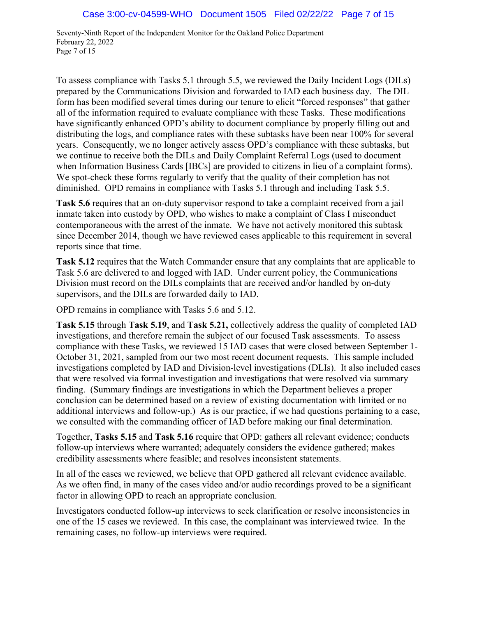Seventy-Ninth Report of the Independent Monitor for the Oakland Police Department February 22, 2022 Page 7 of 15

To assess compliance with Tasks 5.1 through 5.5, we reviewed the Daily Incident Logs (DILs) prepared by the Communications Division and forwarded to IAD each business day. The DIL form has been modified several times during our tenure to elicit "forced responses" that gather all of the information required to evaluate compliance with these Tasks. These modifications have significantly enhanced OPD's ability to document compliance by properly filling out and distributing the logs, and compliance rates with these subtasks have been near 100% for several years. Consequently, we no longer actively assess OPD's compliance with these subtasks, but we continue to receive both the DILs and Daily Complaint Referral Logs (used to document when Information Business Cards [IBCs] are provided to citizens in lieu of a complaint forms). We spot-check these forms regularly to verify that the quality of their completion has not diminished. OPD remains in compliance with Tasks 5.1 through and including Task 5.5.

**Task 5.6** requires that an on-duty supervisor respond to take a complaint received from a jail inmate taken into custody by OPD, who wishes to make a complaint of Class I misconduct contemporaneous with the arrest of the inmate. We have not actively monitored this subtask since December 2014, though we have reviewed cases applicable to this requirement in several reports since that time.

**Task 5.12** requires that the Watch Commander ensure that any complaints that are applicable to Task 5.6 are delivered to and logged with IAD. Under current policy, the Communications Division must record on the DILs complaints that are received and/or handled by on-duty supervisors, and the DILs are forwarded daily to IAD.

OPD remains in compliance with Tasks 5.6 and 5.12.

**Task 5.15** through **Task 5.19**, and **Task 5.21,** collectively address the quality of completed IAD investigations, and therefore remain the subject of our focused Task assessments. To assess compliance with these Tasks, we reviewed 15 IAD cases that were closed between September 1- October 31, 2021, sampled from our two most recent document requests. This sample included investigations completed by IAD and Division-level investigations (DLIs). It also included cases that were resolved via formal investigation and investigations that were resolved via summary finding. (Summary findings are investigations in which the Department believes a proper conclusion can be determined based on a review of existing documentation with limited or no additional interviews and follow-up.) As is our practice, if we had questions pertaining to a case, we consulted with the commanding officer of IAD before making our final determination.

Together, **Tasks 5.15** and **Task 5.16** require that OPD: gathers all relevant evidence; conducts follow-up interviews where warranted; adequately considers the evidence gathered; makes credibility assessments where feasible; and resolves inconsistent statements.

In all of the cases we reviewed, we believe that OPD gathered all relevant evidence available. As we often find, in many of the cases video and/or audio recordings proved to be a significant factor in allowing OPD to reach an appropriate conclusion.

Investigators conducted follow-up interviews to seek clarification or resolve inconsistencies in one of the 15 cases we reviewed. In this case, the complainant was interviewed twice. In the remaining cases, no follow-up interviews were required.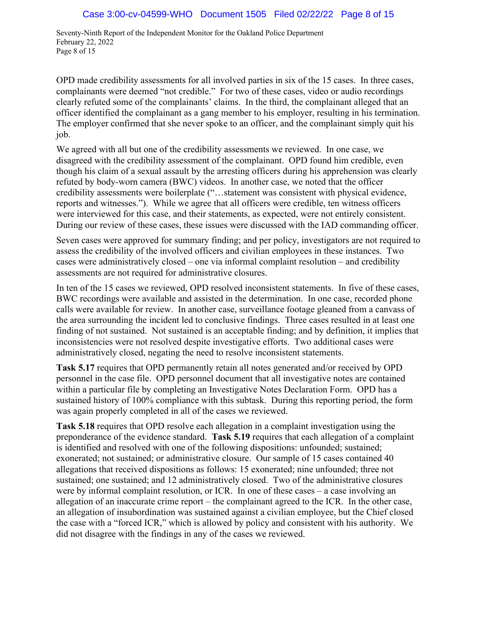Seventy-Ninth Report of the Independent Monitor for the Oakland Police Department February 22, 2022 Page 8 of 15

OPD made credibility assessments for all involved parties in six of the 15 cases. In three cases, complainants were deemed "not credible." For two of these cases, video or audio recordings clearly refuted some of the complainants' claims. In the third, the complainant alleged that an officer identified the complainant as a gang member to his employer, resulting in his termination. The employer confirmed that she never spoke to an officer, and the complainant simply quit his job.

We agreed with all but one of the credibility assessments we reviewed. In one case, we disagreed with the credibility assessment of the complainant. OPD found him credible, even though his claim of a sexual assault by the arresting officers during his apprehension was clearly refuted by body-worn camera (BWC) videos. In another case, we noted that the officer credibility assessments were boilerplate ("…statement was consistent with physical evidence, reports and witnesses."). While we agree that all officers were credible, ten witness officers were interviewed for this case, and their statements, as expected, were not entirely consistent. During our review of these cases, these issues were discussed with the IAD commanding officer.

Seven cases were approved for summary finding; and per policy, investigators are not required to assess the credibility of the involved officers and civilian employees in these instances. Two cases were administratively closed – one via informal complaint resolution – and credibility assessments are not required for administrative closures.

In ten of the 15 cases we reviewed, OPD resolved inconsistent statements. In five of these cases, BWC recordings were available and assisted in the determination. In one case, recorded phone calls were available for review. In another case, surveillance footage gleaned from a canvass of the area surrounding the incident led to conclusive findings. Three cases resulted in at least one finding of not sustained. Not sustained is an acceptable finding; and by definition, it implies that inconsistencies were not resolved despite investigative efforts. Two additional cases were administratively closed, negating the need to resolve inconsistent statements.

**Task 5.17** requires that OPD permanently retain all notes generated and/or received by OPD personnel in the case file. OPD personnel document that all investigative notes are contained within a particular file by completing an Investigative Notes Declaration Form. OPD has a sustained history of 100% compliance with this subtask. During this reporting period, the form was again properly completed in all of the cases we reviewed.

**Task 5.18** requires that OPD resolve each allegation in a complaint investigation using the preponderance of the evidence standard. **Task 5.19** requires that each allegation of a complaint is identified and resolved with one of the following dispositions: unfounded; sustained; exonerated; not sustained; or administrative closure. Our sample of 15 cases contained 40 allegations that received dispositions as follows: 15 exonerated; nine unfounded; three not sustained; one sustained; and 12 administratively closed. Two of the administrative closures were by informal complaint resolution, or ICR. In one of these cases – a case involving an allegation of an inaccurate crime report – the complainant agreed to the ICR. In the other case, an allegation of insubordination was sustained against a civilian employee, but the Chief closed the case with a "forced ICR," which is allowed by policy and consistent with his authority. We did not disagree with the findings in any of the cases we reviewed.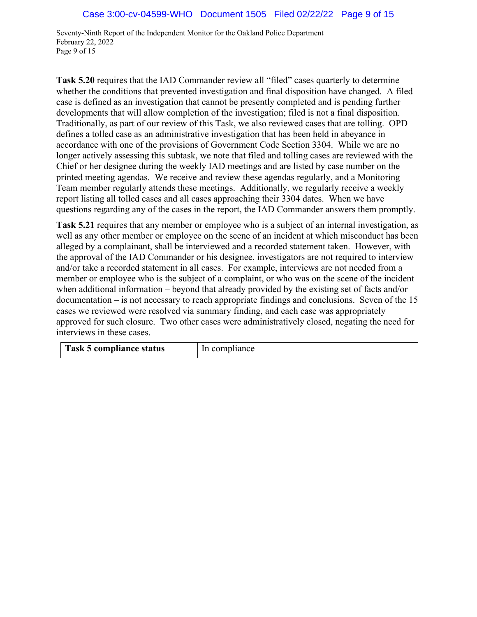Seventy-Ninth Report of the Independent Monitor for the Oakland Police Department February 22, 2022 Page 9 of 15

**Task 5.20** requires that the IAD Commander review all "filed" cases quarterly to determine whether the conditions that prevented investigation and final disposition have changed. A filed case is defined as an investigation that cannot be presently completed and is pending further developments that will allow completion of the investigation; filed is not a final disposition. Traditionally, as part of our review of this Task, we also reviewed cases that are tolling. OPD defines a tolled case as an administrative investigation that has been held in abeyance in accordance with one of the provisions of Government Code Section 3304. While we are no longer actively assessing this subtask, we note that filed and tolling cases are reviewed with the Chief or her designee during the weekly IAD meetings and are listed by case number on the printed meeting agendas. We receive and review these agendas regularly, and a Monitoring Team member regularly attends these meetings. Additionally, we regularly receive a weekly report listing all tolled cases and all cases approaching their 3304 dates. When we have questions regarding any of the cases in the report, the IAD Commander answers them promptly.

**Task 5.21** requires that any member or employee who is a subject of an internal investigation, as well as any other member or employee on the scene of an incident at which misconduct has been alleged by a complainant, shall be interviewed and a recorded statement taken. However, with the approval of the IAD Commander or his designee, investigators are not required to interview and/or take a recorded statement in all cases. For example, interviews are not needed from a member or employee who is the subject of a complaint, or who was on the scene of the incident when additional information – beyond that already provided by the existing set of facts and/or documentation – is not necessary to reach appropriate findings and conclusions. Seven of the 15 cases we reviewed were resolved via summary finding, and each case was appropriately approved for such closure. Two other cases were administratively closed, negating the need for interviews in these cases.

| Task 5 compliance status | In compliance |
|--------------------------|---------------|
|                          |               |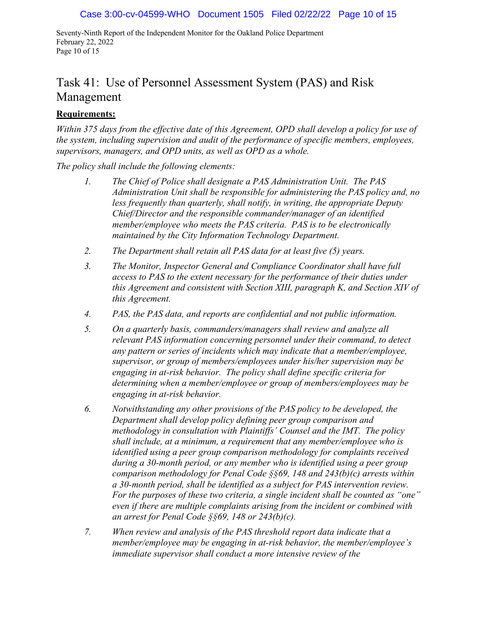Seventy-Ninth Report of the Independent Monitor for the Oakland Police Department February 22, 2022 Page 10 of 15

# Task 41: Use of Personnel Assessment System (PAS) and Risk Management

#### **Requirements:**

*Within 375 days from the effective date of this Agreement, OPD shall develop a policy for use of the system, including supervision and audit of the performance of specific members, employees, supervisors, managers, and OPD units, as well as OPD as a whole.* 

*The policy shall include the following elements:*

- *1. The Chief of Police shall designate a PAS Administration Unit. The PAS Administration Unit shall be responsible for administering the PAS policy and, no less frequently than quarterly, shall notify, in writing, the appropriate Deputy Chief/Director and the responsible commander/manager of an identified member/employee who meets the PAS criteria. PAS is to be electronically maintained by the City Information Technology Department.*
- *2. The Department shall retain all PAS data for at least five (5) years.*
- *3. The Monitor, Inspector General and Compliance Coordinator shall have full access to PAS to the extent necessary for the performance of their duties under this Agreement and consistent with Section XIII, paragraph K, and Section XIV of this Agreement.*
- *4. PAS, the PAS data, and reports are confidential and not public information.*
- *5. On a quarterly basis, commanders/managers shall review and analyze all relevant PAS information concerning personnel under their command, to detect any pattern or series of incidents which may indicate that a member/employee, supervisor, or group of members/employees under his/her supervision may be engaging in at-risk behavior. The policy shall define specific criteria for determining when a member/employee or group of members/employees may be engaging in at-risk behavior.*
- *6. Notwithstanding any other provisions of the PAS policy to be developed, the Department shall develop policy defining peer group comparison and methodology in consultation with Plaintiffs' Counsel and the IMT. The policy shall include, at a minimum, a requirement that any member/employee who is identified using a peer group comparison methodology for complaints received during a 30-month period, or any member who is identified using a peer group comparison methodology for Penal Code §§69, 148 and 243(b)(c) arrests within a 30-month period, shall be identified as a subject for PAS intervention review. For the purposes of these two criteria, a single incident shall be counted as "one" even if there are multiple complaints arising from the incident or combined with an arrest for Penal Code §§69, 148 or 243(b)(c).*
- *7. When review and analysis of the PAS threshold report data indicate that a member/employee may be engaging in at-risk behavior, the member/employee's immediate supervisor shall conduct a more intensive review of the*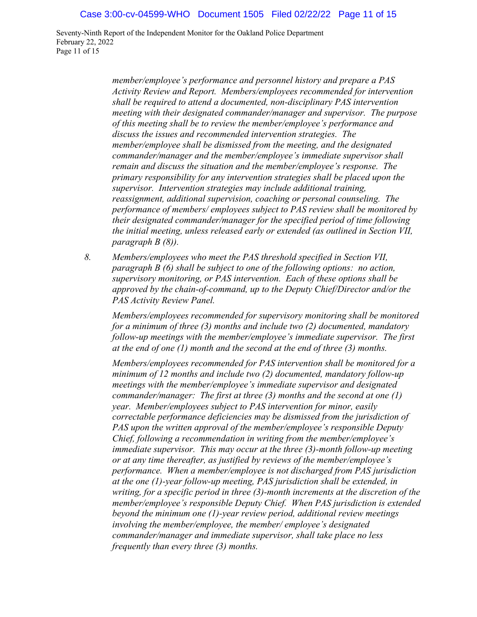#### Case 3:00-cv-04599-WHO Document 1505 Filed 02/22/22 Page 11 of 15

Seventy-Ninth Report of the Independent Monitor for the Oakland Police Department February 22, 2022 Page 11 of 15

> *member/employee's performance and personnel history and prepare a PAS Activity Review and Report. Members/employees recommended for intervention shall be required to attend a documented, non-disciplinary PAS intervention meeting with their designated commander/manager and supervisor. The purpose of this meeting shall be to review the member/employee's performance and discuss the issues and recommended intervention strategies. The member/employee shall be dismissed from the meeting, and the designated commander/manager and the member/employee's immediate supervisor shall remain and discuss the situation and the member/employee's response. The primary responsibility for any intervention strategies shall be placed upon the supervisor. Intervention strategies may include additional training, reassignment, additional supervision, coaching or personal counseling. The performance of members/ employees subject to PAS review shall be monitored by their designated commander/manager for the specified period of time following the initial meeting, unless released early or extended (as outlined in Section VII, paragraph B (8)).*

*8. Members/employees who meet the PAS threshold specified in Section VII, paragraph B (6) shall be subject to one of the following options: no action, supervisory monitoring, or PAS intervention. Each of these options shall be approved by the chain-of-command, up to the Deputy Chief/Director and/or the PAS Activity Review Panel.*

*Members/employees recommended for supervisory monitoring shall be monitored for a minimum of three (3) months and include two (2) documented, mandatory follow-up meetings with the member/employee's immediate supervisor. The first at the end of one (1) month and the second at the end of three (3) months.*

*Members/employees recommended for PAS intervention shall be monitored for a minimum of 12 months and include two (2) documented, mandatory follow-up meetings with the member/employee's immediate supervisor and designated commander/manager: The first at three (3) months and the second at one (1) year. Member/employees subject to PAS intervention for minor, easily correctable performance deficiencies may be dismissed from the jurisdiction of PAS upon the written approval of the member/employee's responsible Deputy Chief, following a recommendation in writing from the member/employee's immediate supervisor. This may occur at the three (3)-month follow-up meeting or at any time thereafter, as justified by reviews of the member/employee's performance. When a member/employee is not discharged from PAS jurisdiction at the one (1)-year follow-up meeting, PAS jurisdiction shall be extended, in writing, for a specific period in three (3)-month increments at the discretion of the member/employee's responsible Deputy Chief. When PAS jurisdiction is extended beyond the minimum one (1)-year review period, additional review meetings involving the member/employee, the member/ employee's designated commander/manager and immediate supervisor, shall take place no less frequently than every three (3) months.*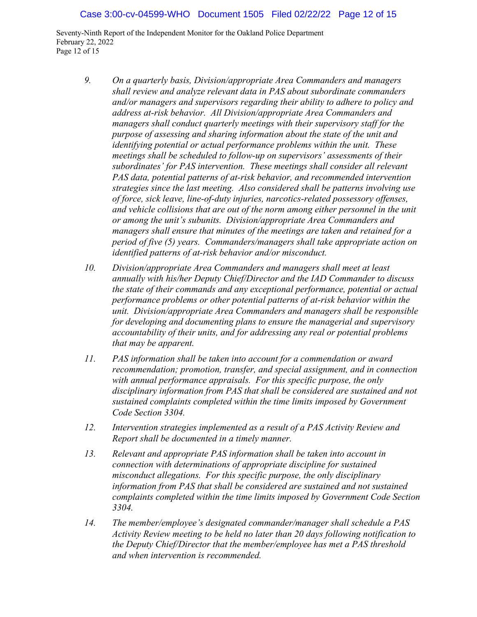Seventy-Ninth Report of the Independent Monitor for the Oakland Police Department February 22, 2022 Page 12 of 15

- *9. On a quarterly basis, Division/appropriate Area Commanders and managers shall review and analyze relevant data in PAS about subordinate commanders and/or managers and supervisors regarding their ability to adhere to policy and address at-risk behavior. All Division/appropriate Area Commanders and managers shall conduct quarterly meetings with their supervisory staff for the purpose of assessing and sharing information about the state of the unit and identifying potential or actual performance problems within the unit. These meetings shall be scheduled to follow-up on supervisors' assessments of their subordinates' for PAS intervention. These meetings shall consider all relevant PAS data, potential patterns of at-risk behavior, and recommended intervention strategies since the last meeting. Also considered shall be patterns involving use of force, sick leave, line-of-duty injuries, narcotics-related possessory offenses, and vehicle collisions that are out of the norm among either personnel in the unit or among the unit's subunits. Division/appropriate Area Commanders and managers shall ensure that minutes of the meetings are taken and retained for a period of five (5) years. Commanders/managers shall take appropriate action on identified patterns of at-risk behavior and/or misconduct.*
- *10. Division/appropriate Area Commanders and managers shall meet at least annually with his/her Deputy Chief/Director and the IAD Commander to discuss the state of their commands and any exceptional performance, potential or actual performance problems or other potential patterns of at-risk behavior within the unit. Division/appropriate Area Commanders and managers shall be responsible for developing and documenting plans to ensure the managerial and supervisory accountability of their units, and for addressing any real or potential problems that may be apparent.*
- *11. PAS information shall be taken into account for a commendation or award recommendation; promotion, transfer, and special assignment, and in connection with annual performance appraisals. For this specific purpose, the only disciplinary information from PAS that shall be considered are sustained and not sustained complaints completed within the time limits imposed by Government Code Section 3304.*
- *12. Intervention strategies implemented as a result of a PAS Activity Review and Report shall be documented in a timely manner.*
- *13. Relevant and appropriate PAS information shall be taken into account in connection with determinations of appropriate discipline for sustained misconduct allegations. For this specific purpose, the only disciplinary information from PAS that shall be considered are sustained and not sustained complaints completed within the time limits imposed by Government Code Section 3304.*
- *14. The member/employee's designated commander/manager shall schedule a PAS Activity Review meeting to be held no later than 20 days following notification to the Deputy Chief/Director that the member/employee has met a PAS threshold and when intervention is recommended.*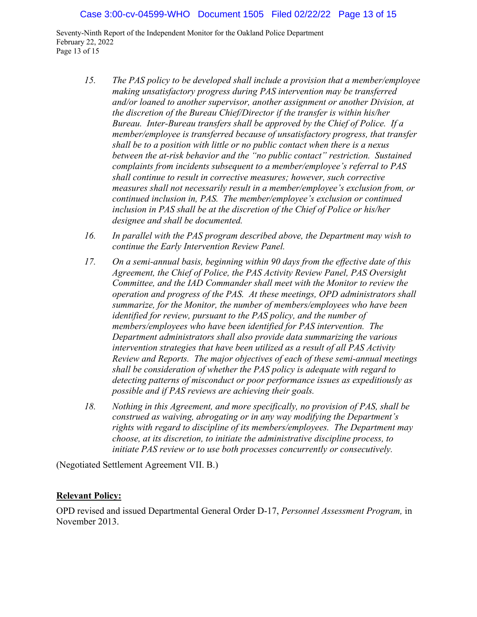Seventy-Ninth Report of the Independent Monitor for the Oakland Police Department February 22, 2022 Page 13 of 15

- *15. The PAS policy to be developed shall include a provision that a member/employee making unsatisfactory progress during PAS intervention may be transferred and/or loaned to another supervisor, another assignment or another Division, at the discretion of the Bureau Chief/Director if the transfer is within his/her Bureau. Inter-Bureau transfers shall be approved by the Chief of Police. If a member/employee is transferred because of unsatisfactory progress, that transfer shall be to a position with little or no public contact when there is a nexus between the at-risk behavior and the "no public contact" restriction. Sustained complaints from incidents subsequent to a member/employee's referral to PAS shall continue to result in corrective measures; however, such corrective measures shall not necessarily result in a member/employee's exclusion from, or continued inclusion in, PAS. The member/employee's exclusion or continued inclusion in PAS shall be at the discretion of the Chief of Police or his/her designee and shall be documented.*
- *16. In parallel with the PAS program described above, the Department may wish to continue the Early Intervention Review Panel.*
- *17. On a semi-annual basis, beginning within 90 days from the effective date of this Agreement, the Chief of Police, the PAS Activity Review Panel, PAS Oversight Committee, and the IAD Commander shall meet with the Monitor to review the operation and progress of the PAS. At these meetings, OPD administrators shall summarize, for the Monitor, the number of members/employees who have been identified for review, pursuant to the PAS policy, and the number of members/employees who have been identified for PAS intervention. The Department administrators shall also provide data summarizing the various intervention strategies that have been utilized as a result of all PAS Activity Review and Reports. The major objectives of each of these semi-annual meetings shall be consideration of whether the PAS policy is adequate with regard to detecting patterns of misconduct or poor performance issues as expeditiously as possible and if PAS reviews are achieving their goals.*
- *18. Nothing in this Agreement, and more specifically, no provision of PAS, shall be construed as waiving, abrogating or in any way modifying the Department's rights with regard to discipline of its members/employees. The Department may choose, at its discretion, to initiate the administrative discipline process, to initiate PAS review or to use both processes concurrently or consecutively.*

(Negotiated Settlement Agreement VII. B.)

## **Relevant Policy:**

OPD revised and issued Departmental General Order D-17, *Personnel Assessment Program,* in November 2013.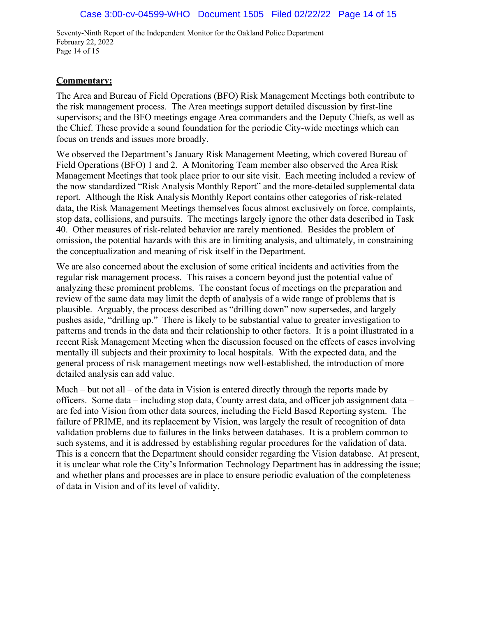Seventy-Ninth Report of the Independent Monitor for the Oakland Police Department February 22, 2022 Page 14 of 15

#### **Commentary:**

The Area and Bureau of Field Operations (BFO) Risk Management Meetings both contribute to the risk management process. The Area meetings support detailed discussion by first-line supervisors; and the BFO meetings engage Area commanders and the Deputy Chiefs, as well as the Chief. These provide a sound foundation for the periodic City-wide meetings which can focus on trends and issues more broadly.

We observed the Department's January Risk Management Meeting, which covered Bureau of Field Operations (BFO) 1 and 2. A Monitoring Team member also observed the Area Risk Management Meetings that took place prior to our site visit. Each meeting included a review of the now standardized "Risk Analysis Monthly Report" and the more-detailed supplemental data report. Although the Risk Analysis Monthly Report contains other categories of risk-related data, the Risk Management Meetings themselves focus almost exclusively on force, complaints, stop data, collisions, and pursuits. The meetings largely ignore the other data described in Task 40. Other measures of risk-related behavior are rarely mentioned. Besides the problem of omission, the potential hazards with this are in limiting analysis, and ultimately, in constraining the conceptualization and meaning of risk itself in the Department.

We are also concerned about the exclusion of some critical incidents and activities from the regular risk management process. This raises a concern beyond just the potential value of analyzing these prominent problems. The constant focus of meetings on the preparation and review of the same data may limit the depth of analysis of a wide range of problems that is plausible. Arguably, the process described as "drilling down" now supersedes, and largely pushes aside, "drilling up." There is likely to be substantial value to greater investigation to patterns and trends in the data and their relationship to other factors. It is a point illustrated in a recent Risk Management Meeting when the discussion focused on the effects of cases involving mentally ill subjects and their proximity to local hospitals. With the expected data, and the general process of risk management meetings now well-established, the introduction of more detailed analysis can add value.

Much – but not all – of the data in Vision is entered directly through the reports made by officers. Some data – including stop data, County arrest data, and officer job assignment data – are fed into Vision from other data sources, including the Field Based Reporting system. The failure of PRIME, and its replacement by Vision, was largely the result of recognition of data validation problems due to failures in the links between databases. It is a problem common to such systems, and it is addressed by establishing regular procedures for the validation of data. This is a concern that the Department should consider regarding the Vision database. At present, it is unclear what role the City's Information Technology Department has in addressing the issue; and whether plans and processes are in place to ensure periodic evaluation of the completeness of data in Vision and of its level of validity.